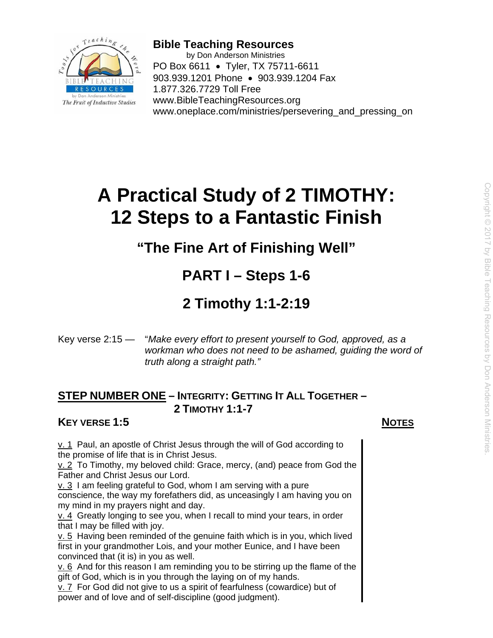

**Bible Teaching Resources**  by Don Anderson Ministries PO Box 6611 • Tyler, TX 75711-6611 903.939.1201 Phone • 903.939.1204 Fax 1.877.326.7729 Toll Free www.BibleTeachingResources.org www.oneplace.com/ministries/persevering and pressing on

# **A Practical Study of 2 TIMOTHY: 12 Steps to a Fantastic Finish**

# **"The Fine Art of Finishing Well"**

# **PART I – Steps 1-6**

# **2 Timothy 1:1-2:19**

Key verse 2:15 — "*Make every effort to present yourself to God, approved, as a workman who does not need to be ashamed, guiding the word of truth along a straight path."*

# **STEP NUMBER ONE – INTEGRITY: GETTING IT ALL TOGETHER – 2 TIMOTHY 1:1-7**

# **KEY VERSE 1:5** NOTES

v. 1 Paul, an apostle of Christ Jesus through the will of God according to the promise of life that is in Christ Jesus.

v. 2 To Timothy, my beloved child: Grace, mercy, (and) peace from God the Father and Christ Jesus our Lord.

v. 3 I am feeling grateful to God, whom I am serving with a pure conscience, the way my forefathers did, as unceasingly I am having you on my mind in my prayers night and day.

v. 4 Greatly longing to see you, when I recall to mind your tears, in order that I may be filled with joy.

v. 5 Having been reminded of the genuine faith which is in you, which lived first in your grandmother Lois, and your mother Eunice, and I have been convinced that (it is) in you as well.

 $v. 6$  And for this reason I am reminding you to be stirring up the flame of the gift of God, which is in you through the laying on of my hands.

v. 7 For God did not give to us a spirit of fearfulness (cowardice) but of power and of love and of self-discipline (good judgment).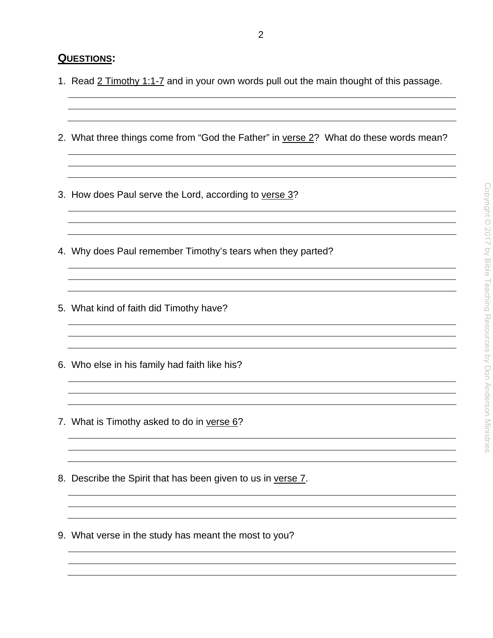#### **QUESTIONS:**

- 1. Read 2 Timothy 1:1-7 and in your own words pull out the main thought of this passage.
- 2. What three things come from "God the Father" in verse 2? What do these words mean?
- 3. How does Paul serve the Lord, according to verse 3?
- 4. Why does Paul remember Timothy's tears when they parted?
- 5. What kind of faith did Timothy have?
- 6. Who else in his family had faith like his?
- 7. What is Timothy asked to do in verse 6?
- 8. Describe the Spirit that has been given to us in verse 7.
- 9. What verse in the study has meant the most to you?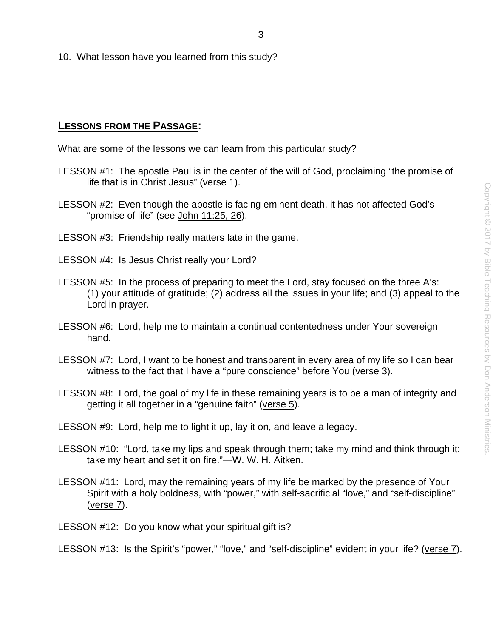10. What lesson have you learned from this study?

**LESSONS FROM THE PASSAGE:** 

What are some of the lessons we can learn from this particular study?

- LESSON #1: The apostle Paul is in the center of the will of God, proclaiming "the promise of life that is in Christ Jesus" (verse 1).
- LESSON #2: Even though the apostle is facing eminent death, it has not affected God's "promise of life" (see John 11:25, 26).
- LESSON #3: Friendship really matters late in the game.
- LESSON #4: Is Jesus Christ really your Lord?
- LESSON #5: In the process of preparing to meet the Lord, stay focused on the three A's: (1) your attitude of gratitude; (2) address all the issues in your life; and (3) appeal to the Lord in prayer.
- LESSON #6: Lord, help me to maintain a continual contentedness under Your sovereign hand.
- LESSON #7: Lord, I want to be honest and transparent in every area of my life so I can bear witness to the fact that I have a "pure conscience" before You (verse 3).
- LESSON #8: Lord, the goal of my life in these remaining years is to be a man of integrity and getting it all together in a "genuine faith" (verse 5).
- LESSON #9: Lord, help me to light it up, lay it on, and leave a legacy.
- LESSON #10: "Lord, take my lips and speak through them; take my mind and think through it; take my heart and set it on fire."—W. W. H. Aitken.
- LESSON #11: Lord, may the remaining years of my life be marked by the presence of Your Spirit with a holy boldness, with "power," with self-sacrificial "love," and "self-discipline" (verse 7).
- LESSON #12: Do you know what your spiritual gift is?

LESSON #13: Is the Spirit's "power," "love," and "self-discipline" evident in your life? (verse 7).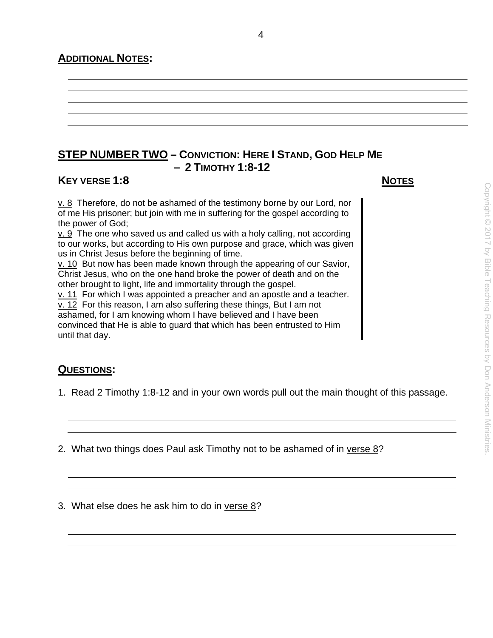## **ADDITIONAL NOTES:**

# **STEP NUMBER TWO – CONVICTION: HERE I STAND, GOD HELP ME – 2 TIMOTHY 1:8-12**

### **KEY VERSE 1:8** NOTES

 $v. 8$  Therefore, do not be ashamed of the testimony borne by our Lord, nor of me His prisoner; but join with me in suffering for the gospel according to the power of God;

v. 9 The one who saved us and called us with a holy calling, not according to our works, but according to His own purpose and grace, which was given us in Christ Jesus before the beginning of time.

v. 10 But now has been made known through the appearing of our Savior, Christ Jesus, who on the one hand broke the power of death and on the other brought to light, life and immortality through the gospel.

v. 11 For which I was appointed a preacher and an apostle and a teacher. v. 12 For this reason, I am also suffering these things, But I am not ashamed, for I am knowing whom I have believed and I have been convinced that He is able to guard that which has been entrusted to Him until that day.

# **QUESTIONS:**

1. Read 2 Timothy 1:8-12 and in your own words pull out the main thought of this passage.

2. What two things does Paul ask Timothy not to be ashamed of in verse 8?

3. What else does he ask him to do in verse 8?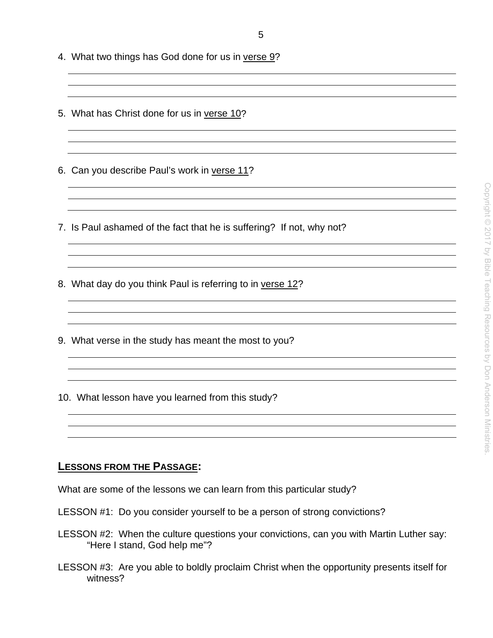- 4. What two things has God done for us in verse 9?
- 5. What has Christ done for us in verse 10?
- 6. Can you describe Paul's work in verse 11?
- 7. Is Paul ashamed of the fact that he is suffering? If not, why not?
- 8. What day do you think Paul is referring to in verse 12?
- 9. What verse in the study has meant the most to you?
- 10. What lesson have you learned from this study?

### **LESSONS FROM THE PASSAGE:**

What are some of the lessons we can learn from this particular study?

- LESSON #1: Do you consider yourself to be a person of strong convictions?
- LESSON #2: When the culture questions your convictions, can you with Martin Luther say: "Here I stand, God help me"?
- LESSON #3: Are you able to boldly proclaim Christ when the opportunity presents itself for witness?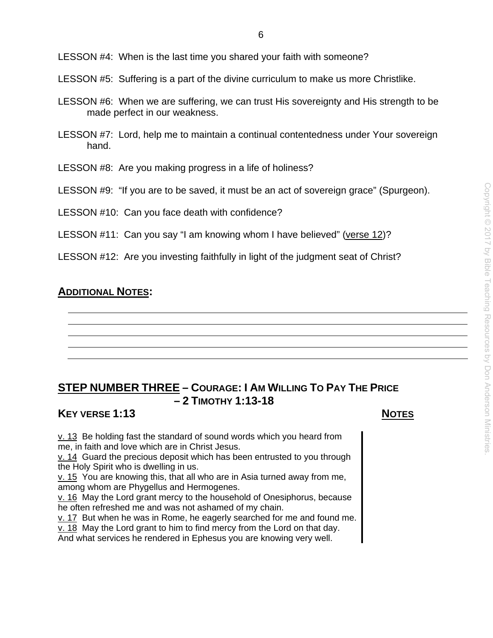LESSON #4: When is the last time you shared your faith with someone?

LESSON #5: Suffering is a part of the divine curriculum to make us more Christlike.

- LESSON #6: When we are suffering, we can trust His sovereignty and His strength to be made perfect in our weakness.
- LESSON #7: Lord, help me to maintain a continual contentedness under Your sovereign hand.
- LESSON #8: Are you making progress in a life of holiness?
- LESSON #9: "If you are to be saved, it must be an act of sovereign grace" (Spurgeon).

LESSON #10: Can you face death with confidence?

LESSON #11: Can you say "I am knowing whom I have believed" (verse 12)?

LESSON #12: Are you investing faithfully in light of the judgment seat of Christ?

# **ADDITIONAL NOTES:**

# **STEP NUMBER THREE – COURAGE: I AM WILLING TO PAY THE PRICE – 2 TIMOTHY 1:13-18**

# **KEY VERSE 1:13** NOTES

v. 13 Be holding fast the standard of sound words which you heard from me, in faith and love which are in Christ Jesus.

v. 14 Guard the precious deposit which has been entrusted to you through the Holy Spirit who is dwelling in us.

v. 15 You are knowing this, that all who are in Asia turned away from me, among whom are Phygellus and Hermogenes.

v. 16 May the Lord grant mercy to the household of Onesiphorus, because he often refreshed me and was not ashamed of my chain.

v. 17 But when he was in Rome, he eagerly searched for me and found me.

v. 18 May the Lord grant to him to find mercy from the Lord on that day.

And what services he rendered in Ephesus you are knowing very well.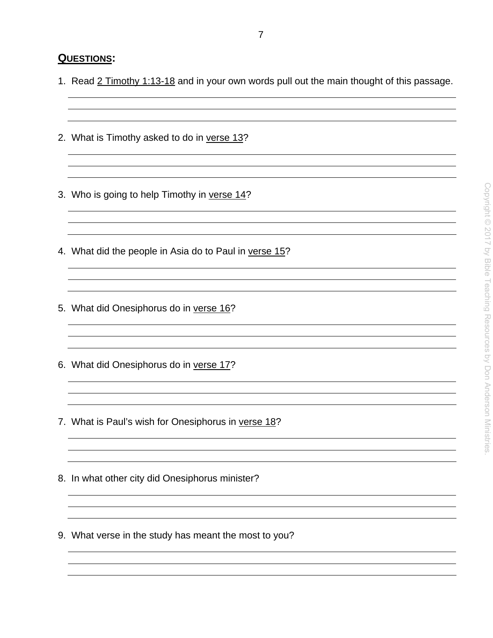### **QUESTIONS:**

1. Read 2 Timothy 1:13-18 and in your own words pull out the main thought of this passage.

<u> 1980 - Johann Stoff, amerikansk politiker (d. 1980)</u>

- 2. What is Timothy asked to do in verse 13?
- 3. Who is going to help Timothy in verse 14?
- 4. What did the people in Asia do to Paul in verse 15?
- 5. What did Onesiphorus do in verse 16?
- 6. What did Onesiphorus do in verse 17?
- 7. What is Paul's wish for Onesiphorus in verse 18?

- 8. In what other city did Onesiphorus minister?
- 9. What verse in the study has meant the most to you?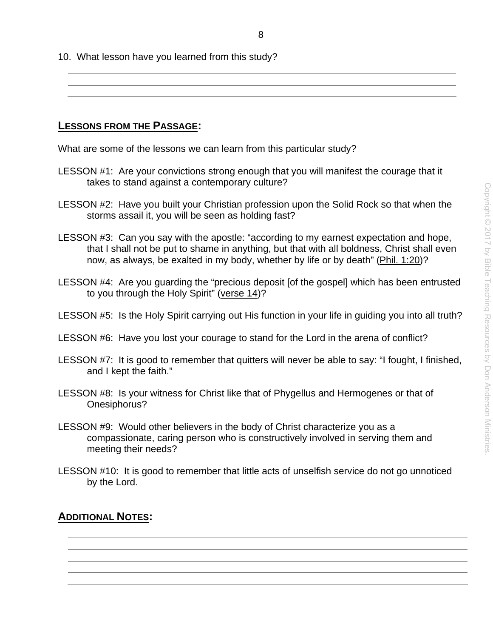10. What lesson have you learned from this study?

**LESSONS FROM THE PASSAGE:** 

What are some of the lessons we can learn from this particular study?

- LESSON #1: Are your convictions strong enough that you will manifest the courage that it takes to stand against a contemporary culture?
- LESSON #2: Have you built your Christian profession upon the Solid Rock so that when the storms assail it, you will be seen as holding fast?
- LESSON #3: Can you say with the apostle: "according to my earnest expectation and hope, that I shall not be put to shame in anything, but that with all boldness, Christ shall even now, as always, be exalted in my body, whether by life or by death" (Phil. 1:20)?
- LESSON #4: Are you guarding the "precious deposit [of the gospel] which has been entrusted to you through the Holy Spirit" (verse 14)?
- LESSON #5: Is the Holy Spirit carrying out His function in your life in quiding you into all truth?
- LESSON #6: Have you lost your courage to stand for the Lord in the arena of conflict?
- LESSON #7: It is good to remember that quitters will never be able to say: "I fought, I finished, and I kept the faith."
- LESSON #8: Is your witness for Christ like that of Phygellus and Hermogenes or that of Onesiphorus?
- LESSON #9: Would other believers in the body of Christ characterize you as a compassionate, caring person who is constructively involved in serving them and meeting their needs?
- LESSON #10: It is good to remember that little acts of unselfish service do not go unnoticed by the Lord.

# **ADDITIONAL NOTES:**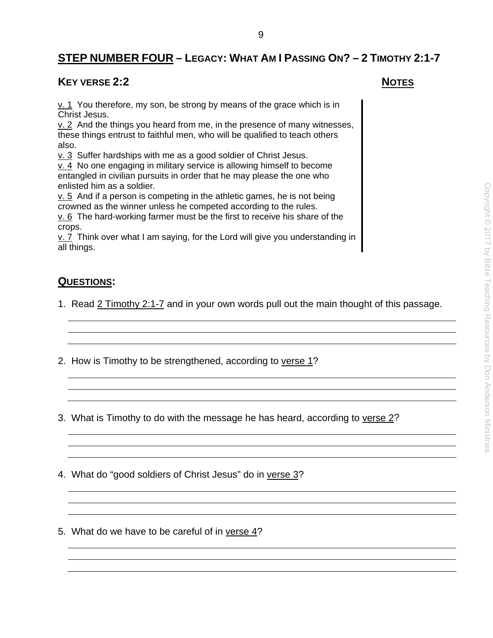# **STEP NUMBER FOUR – LEGACY: WHAT AM I PASSING ON? – 2 TIMOTHY 2:1-7**

9

### **KEY VERSE 2:2** NOTES

 $v. 1$  You therefore, my son, be strong by means of the grace which is in Christ Jesus.

v. 2 And the things you heard from me, in the presence of many witnesses, these things entrust to faithful men, who will be qualified to teach others also.

v. 3 Suffer hardships with me as a good soldier of Christ Jesus.

 $\overline{v}$ . 4 No one engaging in military service is allowing himself to become entangled in civilian pursuits in order that he may please the one who enlisted him as a soldier.

 $v.5$  And if a person is competing in the athletic games, he is not being crowned as the winner unless he competed according to the rules.

v. 6 The hard-working farmer must be the first to receive his share of the crops.

 $\underline{v}$ . 7 Think over what I am saying, for the Lord will give you understanding in all things.

# **QUESTIONS:**

- 1. Read 2 Timothy 2:1-7 and in your own words pull out the main thought of this passage.
- 2. How is Timothy to be strengthened, according to verse 1?
- 3. What is Timothy to do with the message he has heard, according to verse 2?
- 4. What do "good soldiers of Christ Jesus" do in verse 3?
- 5. What do we have to be careful of in verse 4?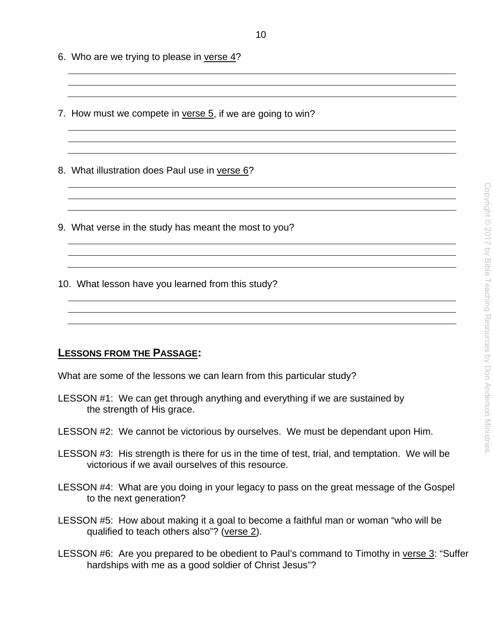- 6. Who are we trying to please in verse 4?
- 7. How must we compete in verse 5, if we are going to win?

8. What illustration does Paul use in verse 6?

- 9. What verse in the study has meant the most to you?
- 10. What lesson have you learned from this study?

#### **LESSONS FROM THE PASSAGE:**

What are some of the lessons we can learn from this particular study?

- LESSON #1: We can get through anything and everything if we are sustained by the strength of His grace.
- LESSON #2: We cannot be victorious by ourselves. We must be dependant upon Him.
- LESSON #3: His strength is there for us in the time of test, trial, and temptation. We will be victorious if we avail ourselves of this resource.
- LESSON #4: What are you doing in your legacy to pass on the great message of the Gospel to the next generation?
- LESSON #5: How about making it a goal to become a faithful man or woman "who will be qualified to teach others also"? (verse 2).
- LESSON #6: Are you prepared to be obedient to Paul's command to Timothy in verse 3: "Suffer hardships with me as a good soldier of Christ Jesus"?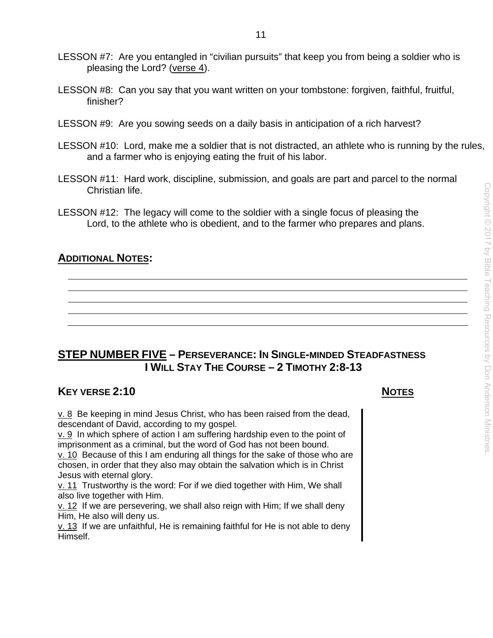- LESSON #7: Are you entangled in "civilian pursuits" that keep you from being a soldier who is pleasing the Lord? (verse 4).
- LESSON #8: Can you say that you want written on your tombstone: forgiven, faithful, fruitful, finisher?
- LESSON #9: Are you sowing seeds on a daily basis in anticipation of a rich harvest?
- LESSON #10: Lord, make me a soldier that is not distracted, an athlete who is running by the rules, and a farmer who is enjoying eating the fruit of his labor.
- LESSON #11: Hard work, discipline, submission, and goals are part and parcel to the normal Christian life.
- LESSON #12: The legacy will come to the soldier with a single focus of pleasing the Lord, to the athlete who is obedient, and to the farmer who prepares and plans.

# **ADDITIONAL NOTES:**

# **STEP NUMBER FIVE – PERSEVERANCE: IN SINGLE-MINDED STEADFASTNESS I WILL STAY THE COURSE – 2 TIMOTHY 2:8-13**

# **KEY VERSE 2:10** NOTES

v. 8 Be keeping in mind Jesus Christ, who has been raised from the dead, descendant of David, according to my gospel.

 $\underline{v}$ . 9 In which sphere of action I am suffering hardship even to the point of imprisonment as a criminal, but the word of God has not been bound.

v. 10 Because of this I am enduring all things for the sake of those who are chosen, in order that they also may obtain the salvation which is in Christ Jesus with eternal glory.

v. 11 Trustworthy is the word: For if we died together with Him, We shall also live together with Him.

v. 12 If we are persevering, we shall also reign with Him; If we shall deny Him, He also will deny us.

 $v. 13$  If we are unfaithful, He is remaining faithful for He is not able to deny Himself.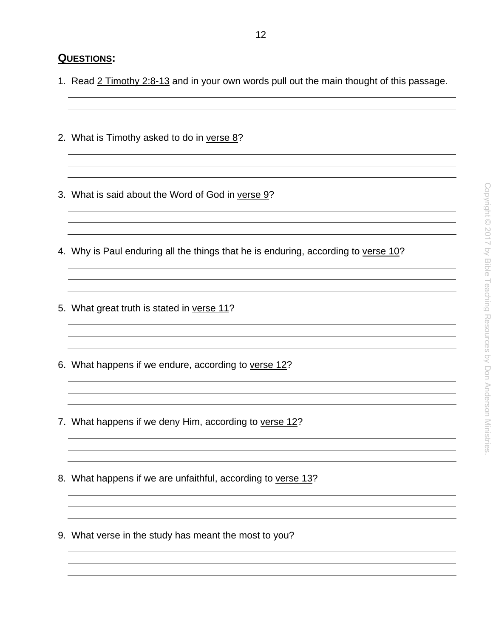- 1. Read 2 Timothy 2:8-13 and in your own words pull out the main thought of this passage.
- 2. What is Timothy asked to do in verse 8?
- 3. What is said about the Word of God in verse 9?
- 4. Why is Paul enduring all the things that he is enduring, according to verse 10?
- 5. What great truth is stated in verse 11?
- 6. What happens if we endure, according to verse 12?
- 7. What happens if we deny Him, according to verse 12?
- 8. What happens if we are unfaithful, according to verse 13?
- 9. What verse in the study has meant the most to you?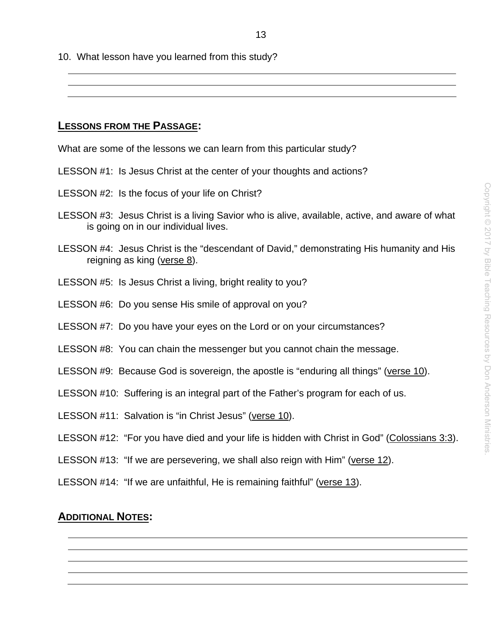10. What lesson have you learned from this study?

#### **LESSONS FROM THE PASSAGE:**

What are some of the lessons we can learn from this particular study?

- LESSON #1: Is Jesus Christ at the center of your thoughts and actions?
- LESSON #2: Is the focus of your life on Christ?
- LESSON #3: Jesus Christ is a living Savior who is alive, available, active, and aware of what is going on in our individual lives.
- LESSON #4: Jesus Christ is the "descendant of David," demonstrating His humanity and His reigning as king (verse 8).
- LESSON #5: Is Jesus Christ a living, bright reality to you?
- LESSON #6: Do you sense His smile of approval on you?
- LESSON #7: Do you have your eyes on the Lord or on your circumstances?
- LESSON #8: You can chain the messenger but you cannot chain the message.
- LESSON #9: Because God is sovereign, the apostle is "enduring all things" (verse 10).
- LESSON #10: Suffering is an integral part of the Father's program for each of us.
- LESSON #11: Salvation is "in Christ Jesus" (verse 10).
- LESSON #12: "For you have died and your life is hidden with Christ in God" (Colossians 3:3).
- LESSON #13: "If we are persevering, we shall also reign with Him" (verse 12).
- LESSON #14: "If we are unfaithful, He is remaining faithful" (verse 13).

# **ADDITIONAL NOTES:**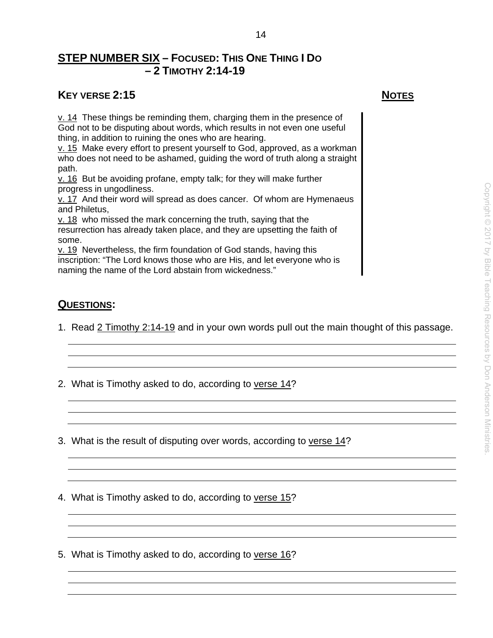# **STEP NUMBER SIX – FOCUSED: THIS ONE THING I DO – 2 TIMOTHY 2:14-19**

# **KEY VERSE 2:15** NOTES

v. 14 These things be reminding them, charging them in the presence of God not to be disputing about words, which results in not even one useful thing, in addition to ruining the ones who are hearing.

v. 15 Make every effort to present yourself to God, approved, as a workman who does not need to be ashamed, guiding the word of truth along a straight path.

v. 16 But be avoiding profane, empty talk; for they will make further progress in ungodliness.

v. 17 And their word will spread as does cancer. Of whom are Hymenaeus and Philetus,

v. 18 who missed the mark concerning the truth, saying that the resurrection has already taken place, and they are upsetting the faith of some.

v. 19 Nevertheless, the firm foundation of God stands, having this inscription: "The Lord knows those who are His, and let everyone who is naming the name of the Lord abstain from wickedness."

# **QUESTIONS:**

1. Read 2 Timothy 2:14-19 and in your own words pull out the main thought of this passage.

14

- 2. What is Timothy asked to do, according to verse 14?
- 3. What is the result of disputing over words, according to verse 14?
- 4. What is Timothy asked to do, according to verse 15?
- 5. What is Timothy asked to do, according to verse 16?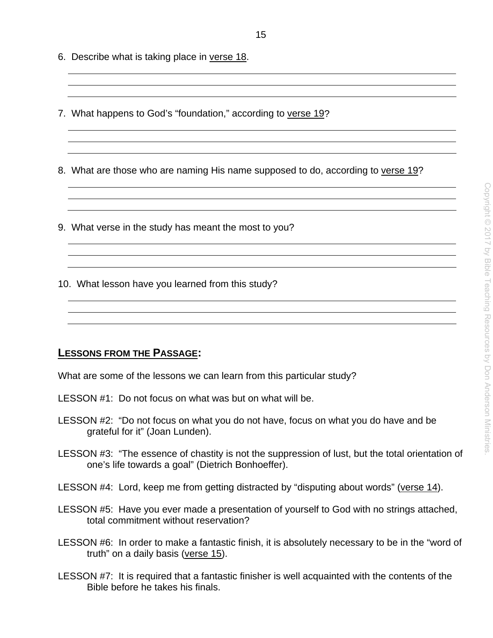- 7. What happens to God's "foundation," according to verse 19?
- 8. What are those who are naming His name supposed to do, according to verse 19?
- 9. What verse in the study has meant the most to you?
- 10. What lesson have you learned from this study?

# **LESSONS FROM THE PASSAGE:**

What are some of the lessons we can learn from this particular study?

- LESSON #1: Do not focus on what was but on what will be.
- LESSON #2: "Do not focus on what you do not have, focus on what you do have and be grateful for it" (Joan Lunden).
- LESSON #3: "The essence of chastity is not the suppression of lust, but the total orientation of one's life towards a goal" (Dietrich Bonhoeffer).
- LESSON #4: Lord, keep me from getting distracted by "disputing about words" (verse 14).
- LESSON #5: Have you ever made a presentation of yourself to God with no strings attached, total commitment without reservation?
- LESSON #6: In order to make a fantastic finish, it is absolutely necessary to be in the "word of truth" on a daily basis (verse 15).
- LESSON #7: It is required that a fantastic finisher is well acquainted with the contents of the Bible before he takes his finals.